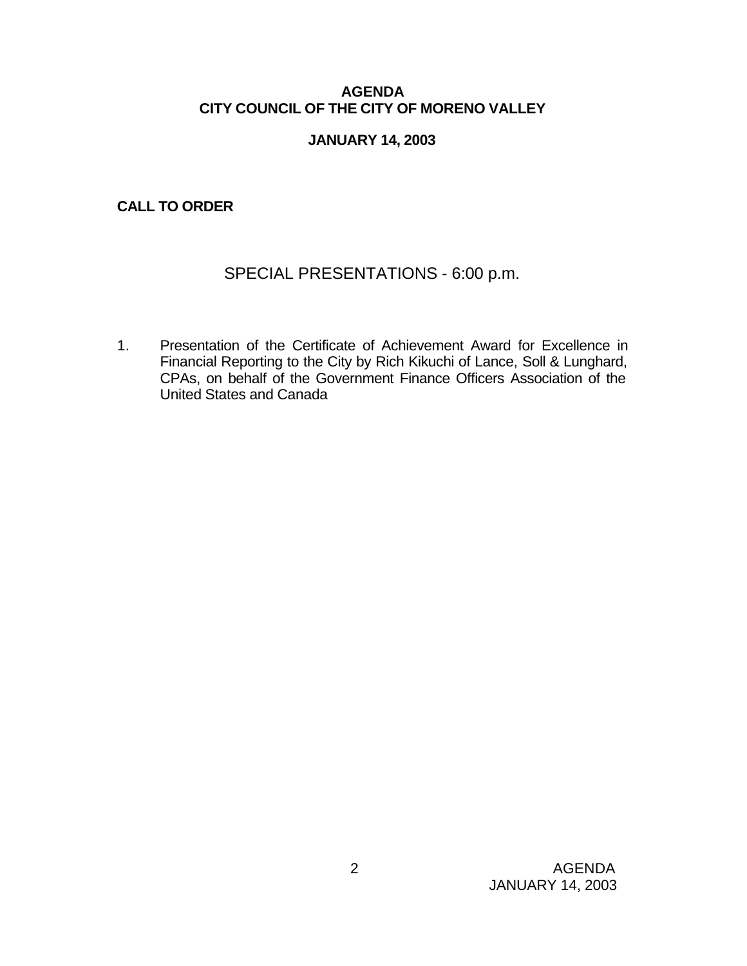## **AGENDA CITY COUNCIL OF THE CITY OF MORENO VALLEY**

## **JANUARY 14, 2003**

## **CALL TO ORDER**

# SPECIAL PRESENTATIONS - 6:00 p.m.

1. Presentation of the Certificate of Achievement Award for Excellence in Financial Reporting to the City by Rich Kikuchi of Lance, Soll & Lunghard, CPAs, on behalf of the Government Finance Officers Association of the United States and Canada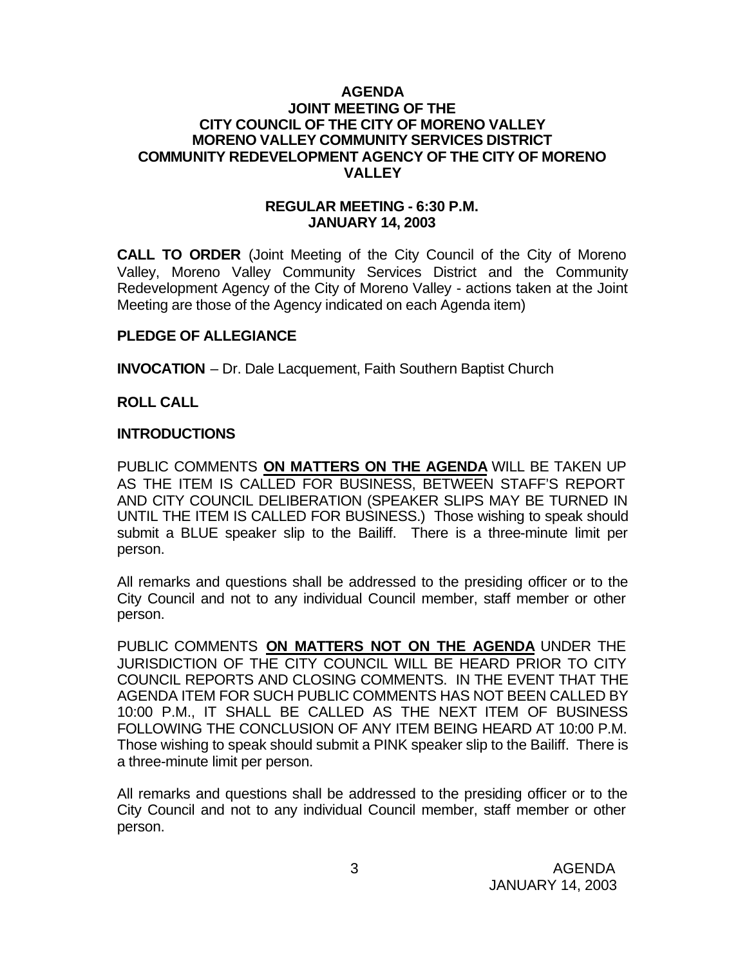### **AGENDA JOINT MEETING OF THE CITY COUNCIL OF THE CITY OF MORENO VALLEY MORENO VALLEY COMMUNITY SERVICES DISTRICT COMMUNITY REDEVELOPMENT AGENCY OF THE CITY OF MORENO VALLEY**

### **REGULAR MEETING - 6:30 P.M. JANUARY 14, 2003**

**CALL TO ORDER** (Joint Meeting of the City Council of the City of Moreno Valley, Moreno Valley Community Services District and the Community Redevelopment Agency of the City of Moreno Valley - actions taken at the Joint Meeting are those of the Agency indicated on each Agenda item)

### **PLEDGE OF ALLEGIANCE**

**INVOCATION** – Dr. Dale Lacquement, Faith Southern Baptist Church

### **ROLL CALL**

### **INTRODUCTIONS**

PUBLIC COMMENTS **ON MATTERS ON THE AGENDA** WILL BE TAKEN UP AS THE ITEM IS CALLED FOR BUSINESS, BETWEEN STAFF'S REPORT AND CITY COUNCIL DELIBERATION (SPEAKER SLIPS MAY BE TURNED IN UNTIL THE ITEM IS CALLED FOR BUSINESS.) Those wishing to speak should submit a BLUE speaker slip to the Bailiff. There is a three-minute limit per person.

All remarks and questions shall be addressed to the presiding officer or to the City Council and not to any individual Council member, staff member or other person.

PUBLIC COMMENTS **ON MATTERS NOT ON THE AGENDA** UNDER THE JURISDICTION OF THE CITY COUNCIL WILL BE HEARD PRIOR TO CITY COUNCIL REPORTS AND CLOSING COMMENTS. IN THE EVENT THAT THE AGENDA ITEM FOR SUCH PUBLIC COMMENTS HAS NOT BEEN CALLED BY 10:00 P.M., IT SHALL BE CALLED AS THE NEXT ITEM OF BUSINESS FOLLOWING THE CONCLUSION OF ANY ITEM BEING HEARD AT 10:00 P.M. Those wishing to speak should submit a PINK speaker slip to the Bailiff. There is a three-minute limit per person.

All remarks and questions shall be addressed to the presiding officer or to the City Council and not to any individual Council member, staff member or other person.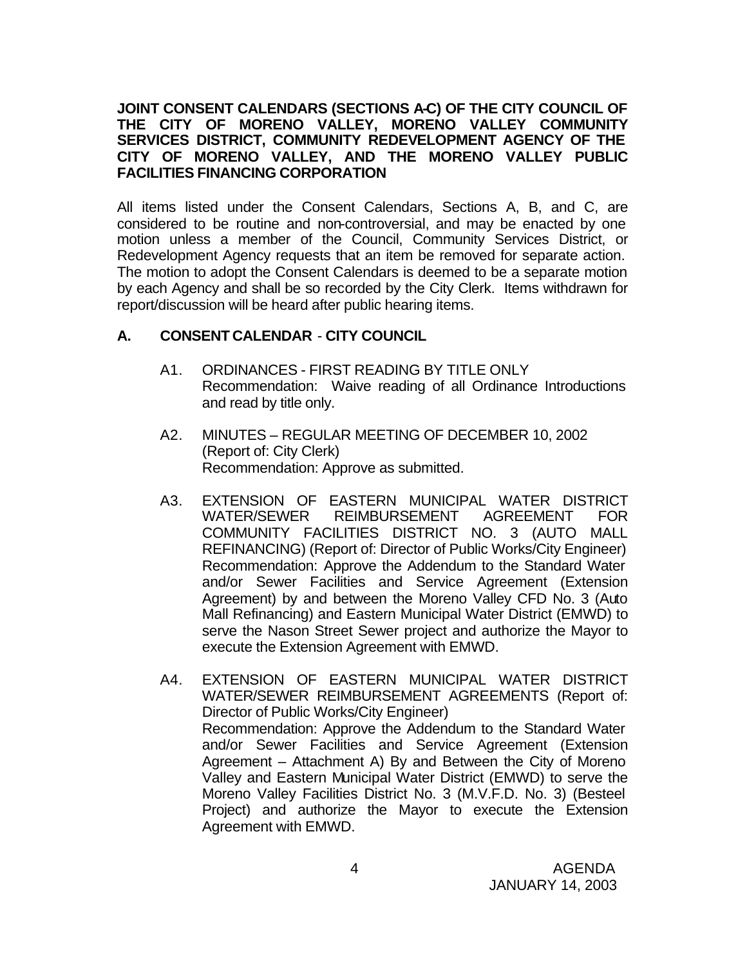## **JOINT CONSENT CALENDARS (SECTIONS A-C) OF THE CITY COUNCIL OF THE CITY OF MORENO VALLEY, MORENO VALLEY COMMUNITY SERVICES DISTRICT, COMMUNITY REDEVELOPMENT AGENCY OF THE CITY OF MORENO VALLEY, AND THE MORENO VALLEY PUBLIC FACILITIES FINANCING CORPORATION**

All items listed under the Consent Calendars, Sections A, B, and C, are considered to be routine and non-controversial, and may be enacted by one motion unless a member of the Council, Community Services District, or Redevelopment Agency requests that an item be removed for separate action. The motion to adopt the Consent Calendars is deemed to be a separate motion by each Agency and shall be so recorded by the City Clerk. Items withdrawn for report/discussion will be heard after public hearing items.

## **A. CONSENT CALENDAR** - **CITY COUNCIL**

- A1. ORDINANCES FIRST READING BY TITLE ONLY Recommendation: Waive reading of all Ordinance Introductions and read by title only.
- A2. MINUTES REGULAR MEETING OF DECEMBER 10, 2002 (Report of: City Clerk) Recommendation: Approve as submitted.
- A3. EXTENSION OF EASTERN MUNICIPAL WATER DISTRICT WATER/SEWER REIMBURSEMENT AGREEMENT FOR COMMUNITY FACILITIES DISTRICT NO. 3 (AUTO MALL REFINANCING) (Report of: Director of Public Works/City Engineer) Recommendation: Approve the Addendum to the Standard Water and/or Sewer Facilities and Service Agreement (Extension Agreement) by and between the Moreno Valley CFD No. 3 (Auto Mall Refinancing) and Eastern Municipal Water District (EMWD) to serve the Nason Street Sewer project and authorize the Mayor to execute the Extension Agreement with EMWD.
- A4. EXTENSION OF EASTERN MUNICIPAL WATER DISTRICT WATER/SEWER REIMBURSEMENT AGREEMENTS (Report of: Director of Public Works/City Engineer) Recommendation: Approve the Addendum to the Standard Water and/or Sewer Facilities and Service Agreement (Extension Agreement – Attachment A) By and Between the City of Moreno Valley and Eastern Municipal Water District (EMWD) to serve the Moreno Valley Facilities District No. 3 (M.V.F.D. No. 3) (Besteel Project) and authorize the Mayor to execute the Extension Agreement with EMWD.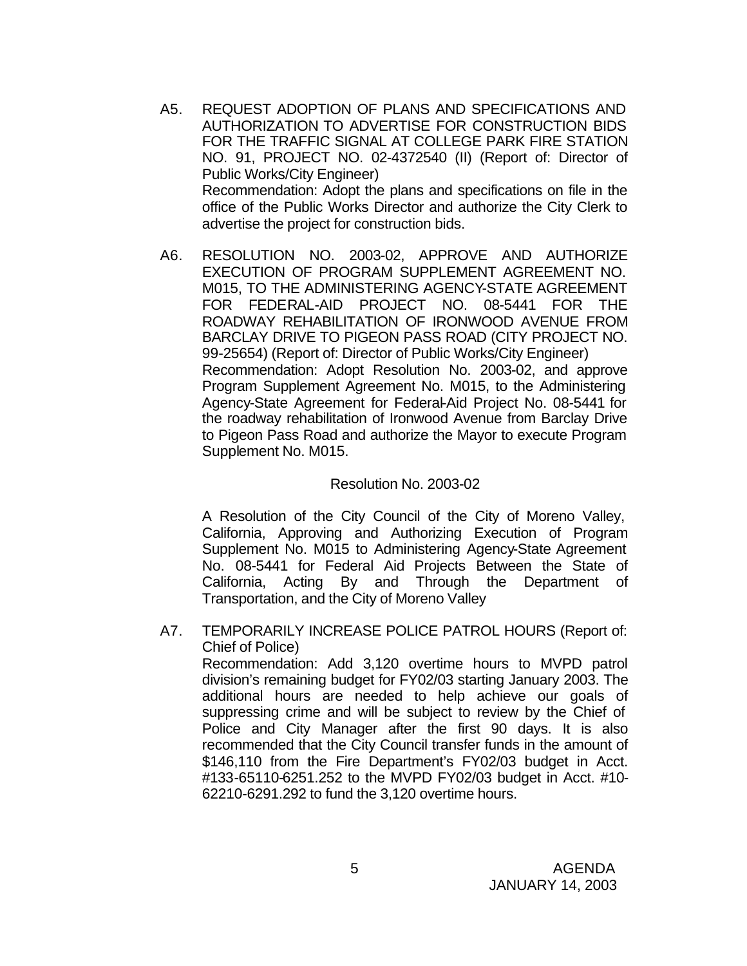- A5. REQUEST ADOPTION OF PLANS AND SPECIFICATIONS AND AUTHORIZATION TO ADVERTISE FOR CONSTRUCTION BIDS FOR THE TRAFFIC SIGNAL AT COLLEGE PARK FIRE STATION NO. 91, PROJECT NO. 02-4372540 (II) (Report of: Director of Public Works/City Engineer) Recommendation: Adopt the plans and specifications on file in the office of the Public Works Director and authorize the City Clerk to advertise the project for construction bids.
- A6. RESOLUTION NO. 2003-02, APPROVE AND AUTHORIZE EXECUTION OF PROGRAM SUPPLEMENT AGREEMENT NO. M015, TO THE ADMINISTERING AGENCY-STATE AGREEMENT FOR FEDERAL-AID PROJECT NO. 08-5441 FOR THE ROADWAY REHABILITATION OF IRONWOOD AVENUE FROM BARCLAY DRIVE TO PIGEON PASS ROAD (CITY PROJECT NO. 99-25654) (Report of: Director of Public Works/City Engineer) Recommendation: Adopt Resolution No. 2003-02, and approve Program Supplement Agreement No. M015, to the Administering Agency-State Agreement for Federal-Aid Project No. 08-5441 for the roadway rehabilitation of Ironwood Avenue from Barclay Drive to Pigeon Pass Road and authorize the Mayor to execute Program Supplement No. M015.

### Resolution No. 2003-02

A Resolution of the City Council of the City of Moreno Valley, California, Approving and Authorizing Execution of Program Supplement No. M015 to Administering Agency-State Agreement No. 08-5441 for Federal Aid Projects Between the State of California, Acting By and Through the Department of Transportation, and the City of Moreno Valley

A7. TEMPORARILY INCREASE POLICE PATROL HOURS (Report of: Chief of Police)

Recommendation: Add 3,120 overtime hours to MVPD patrol division's remaining budget for FY02/03 starting January 2003. The additional hours are needed to help achieve our goals of suppressing crime and will be subject to review by the Chief of Police and City Manager after the first 90 days. It is also recommended that the City Council transfer funds in the amount of \$146,110 from the Fire Department's FY02/03 budget in Acct. #133-65110-6251.252 to the MVPD FY02/03 budget in Acct. #10- 62210-6291.292 to fund the 3,120 overtime hours.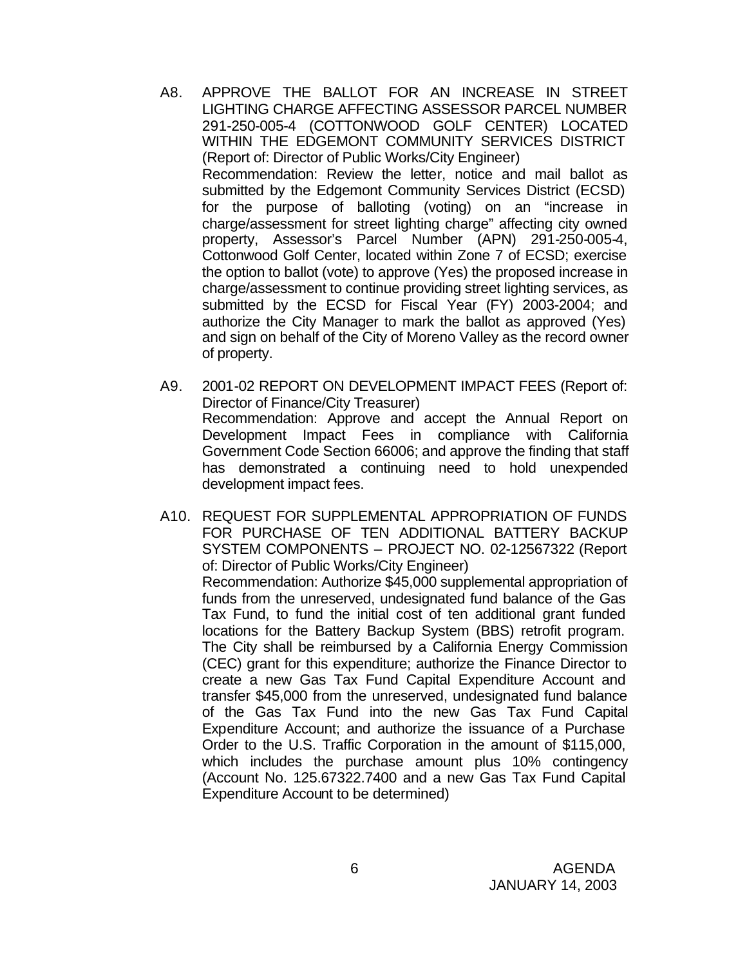- A8. APPROVE THE BALLOT FOR AN INCREASE IN STREET LIGHTING CHARGE AFFECTING ASSESSOR PARCEL NUMBER 291-250-005-4 (COTTONWOOD GOLF CENTER) LOCATED WITHIN THE EDGEMONT COMMUNITY SERVICES DISTRICT (Report of: Director of Public Works/City Engineer) Recommendation: Review the letter, notice and mail ballot as submitted by the Edgemont Community Services District (ECSD) for the purpose of balloting (voting) on an "increase in charge/assessment for street lighting charge" affecting city owned property, Assessor's Parcel Number (APN) 291-250-005-4, Cottonwood Golf Center, located within Zone 7 of ECSD; exercise the option to ballot (vote) to approve (Yes) the proposed increase in charge/assessment to continue providing street lighting services, as submitted by the ECSD for Fiscal Year (FY) 2003-2004; and authorize the City Manager to mark the ballot as approved (Yes) and sign on behalf of the City of Moreno Valley as the record owner of property.
- A9. 2001-02 REPORT ON DEVELOPMENT IMPACT FEES (Report of: Director of Finance/City Treasurer) Recommendation: Approve and accept the Annual Report on Development Impact Fees in compliance with California Government Code Section 66006; and approve the finding that staff has demonstrated a continuing need to hold unexpended development impact fees.
- A10. REQUEST FOR SUPPLEMENTAL APPROPRIATION OF FUNDS FOR PURCHASE OF TEN ADDITIONAL BATTERY BACKUP SYSTEM COMPONENTS – PROJECT NO. 02-12567322 (Report of: Director of Public Works/City Engineer) Recommendation: Authorize \$45,000 supplemental appropriation of funds from the unreserved, undesignated fund balance of the Gas Tax Fund, to fund the initial cost of ten additional grant funded locations for the Battery Backup System (BBS) retrofit program. The City shall be reimbursed by a California Energy Commission (CEC) grant for this expenditure; authorize the Finance Director to create a new Gas Tax Fund Capital Expenditure Account and transfer \$45,000 from the unreserved, undesignated fund balance of the Gas Tax Fund into the new Gas Tax Fund Capital Expenditure Account; and authorize the issuance of a Purchase Order to the U.S. Traffic Corporation in the amount of \$115,000, which includes the purchase amount plus 10% contingency (Account No. 125.67322.7400 and a new Gas Tax Fund Capital Expenditure Account to be determined)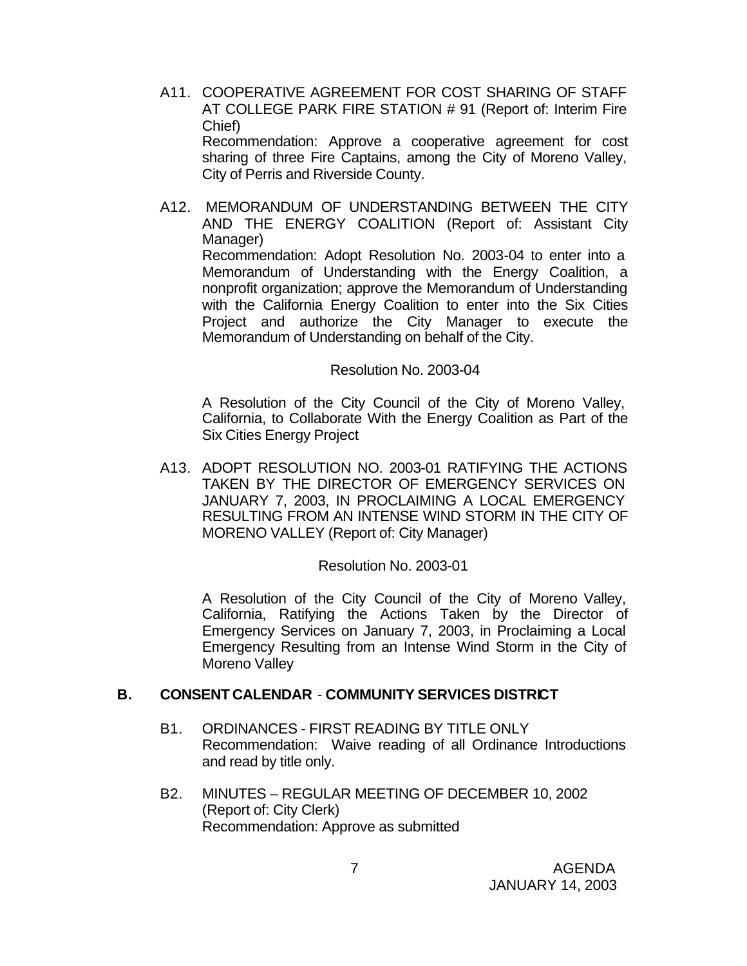A11. COOPERATIVE AGREEMENT FOR COST SHARING OF STAFF AT COLLEGE PARK FIRE STATION # 91 (Report of: Interim Fire Chief)

Recommendation: Approve a cooperative agreement for cost sharing of three Fire Captains, among the City of Moreno Valley, City of Perris and Riverside County.

A12. MEMORANDUM OF UNDERSTANDING BETWEEN THE CITY AND THE ENERGY COALITION (Report of: Assistant City Manager)

Recommendation: Adopt Resolution No. 2003-04 to enter into a Memorandum of Understanding with the Energy Coalition, a nonprofit organization; approve the Memorandum of Understanding with the California Energy Coalition to enter into the Six Cities Project and authorize the City Manager to execute the Memorandum of Understanding on behalf of the City.

### Resolution No. 2003-04

A Resolution of the City Council of the City of Moreno Valley, California, to Collaborate With the Energy Coalition as Part of the Six Cities Energy Project

A13. ADOPT RESOLUTION NO. 2003-01 RATIFYING THE ACTIONS TAKEN BY THE DIRECTOR OF EMERGENCY SERVICES ON JANUARY 7, 2003, IN PROCLAIMING A LOCAL EMERGENCY RESULTING FROM AN INTENSE WIND STORM IN THE CITY OF MORENO VALLEY (Report of: City Manager)

#### Resolution No. 2003-01

A Resolution of the City Council of the City of Moreno Valley, California, Ratifying the Actions Taken by the Director of Emergency Services on January 7, 2003, in Proclaiming a Local Emergency Resulting from an Intense Wind Storm in the City of Moreno Valley

### **B. CONSENT CALENDAR** - **COMMUNITY SERVICES DISTRICT**

- B1. ORDINANCES FIRST READING BY TITLE ONLY Recommendation: Waive reading of all Ordinance Introductions and read by title only.
- B2. MINUTES REGULAR MEETING OF DECEMBER 10, 2002 (Report of: City Clerk) Recommendation: Approve as submitted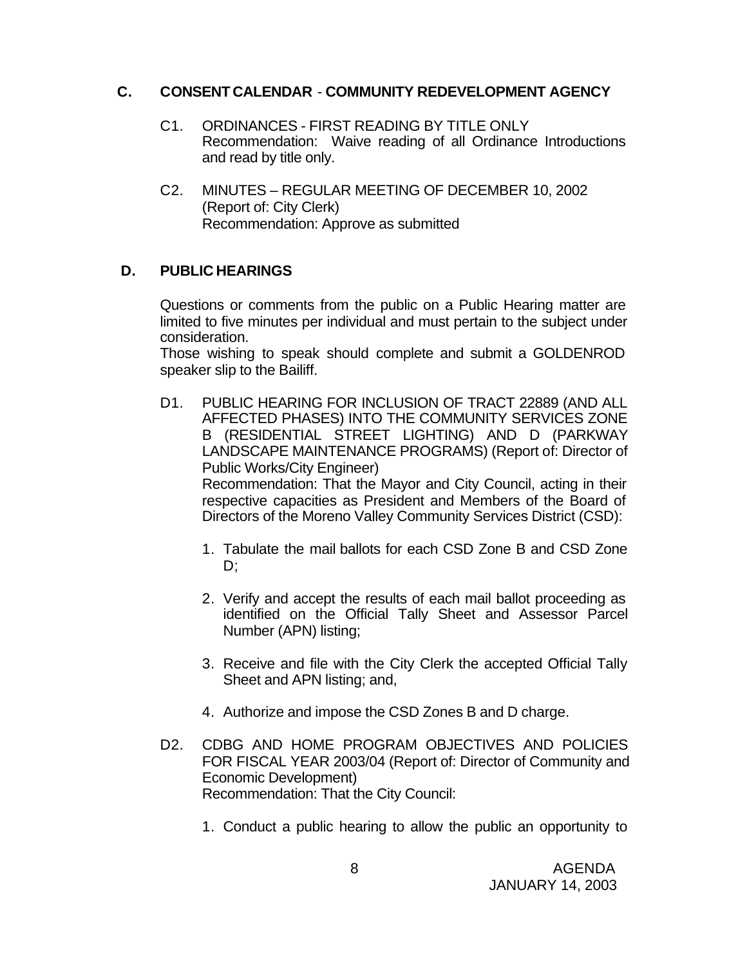## **C. CONSENT CALENDAR** - **COMMUNITY REDEVELOPMENT AGENCY**

- C1. ORDINANCES FIRST READING BY TITLE ONLY Recommendation: Waive reading of all Ordinance Introductions and read by title only.
- C2. MINUTES REGULAR MEETING OF DECEMBER 10, 2002 (Report of: City Clerk) Recommendation: Approve as submitted

## **D. PUBLIC HEARINGS**

Questions or comments from the public on a Public Hearing matter are limited to five minutes per individual and must pertain to the subject under consideration.

Those wishing to speak should complete and submit a GOLDENROD speaker slip to the Bailiff.

- D1. PUBLIC HEARING FOR INCLUSION OF TRACT 22889 (AND ALL AFFECTED PHASES) INTO THE COMMUNITY SERVICES ZONE B (RESIDENTIAL STREET LIGHTING) AND D (PARKWAY LANDSCAPE MAINTENANCE PROGRAMS) (Report of: Director of Public Works/City Engineer) Recommendation: That the Mayor and City Council, acting in their respective capacities as President and Members of the Board of Directors of the Moreno Valley Community Services District (CSD):
	- 1. Tabulate the mail ballots for each CSD Zone B and CSD Zone D;
	- 2. Verify and accept the results of each mail ballot proceeding as identified on the Official Tally Sheet and Assessor Parcel Number (APN) listing;
	- 3. Receive and file with the City Clerk the accepted Official Tally Sheet and APN listing; and,
	- 4. Authorize and impose the CSD Zones B and D charge.
- D2. CDBG AND HOME PROGRAM OBJECTIVES AND POLICIES FOR FISCAL YEAR 2003/04 (Report of: Director of Community and Economic Development) Recommendation: That the City Council:
	- 1. Conduct a public hearing to allow the public an opportunity to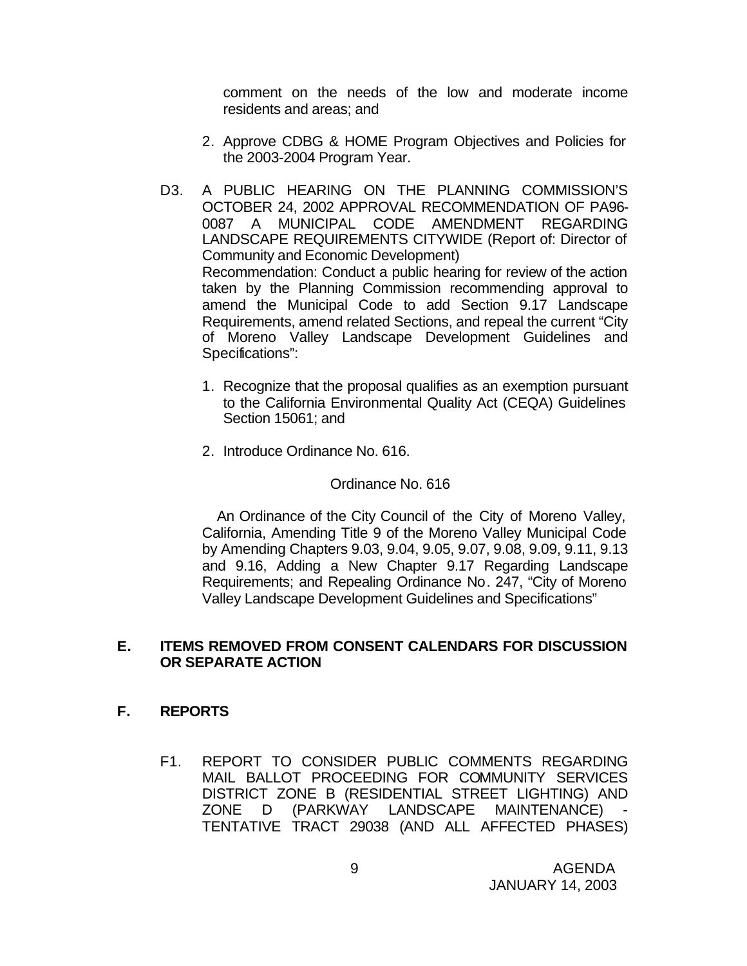comment on the needs of the low and moderate income residents and areas; and

- 2. Approve CDBG & HOME Program Objectives and Policies for the 2003-2004 Program Year.
- D3. A PUBLIC HEARING ON THE PLANNING COMMISSION'S OCTOBER 24, 2002 APPROVAL RECOMMENDATION OF PA96- 0087 A MUNICIPAL CODE AMENDMENT REGARDING LANDSCAPE REQUIREMENTS CITYWIDE (Report of: Director of Community and Economic Development) Recommendation: Conduct a public hearing for review of the action taken by the Planning Commission recommending approval to amend the Municipal Code to add Section 9.17 Landscape Requirements, amend related Sections, and repeal the current "City of Moreno Valley Landscape Development Guidelines and Specifications":
	- 1. Recognize that the proposal qualifies as an exemption pursuant to the California Environmental Quality Act (CEQA) Guidelines Section 15061; and
	- 2. Introduce Ordinance No. 616.

#### Ordinance No. 616

 An Ordinance of the City Council of the City of Moreno Valley, California, Amending Title 9 of the Moreno Valley Municipal Code by Amending Chapters 9.03, 9.04, 9.05, 9.07, 9.08, 9.09, 9.11, 9.13 and 9.16, Adding a New Chapter 9.17 Regarding Landscape Requirements; and Repealing Ordinance No. 247, "City of Moreno Valley Landscape Development Guidelines and Specifications"

### **E. ITEMS REMOVED FROM CONSENT CALENDARS FOR DISCUSSION OR SEPARATE ACTION**

#### **F. REPORTS**

F1. REPORT TO CONSIDER PUBLIC COMMENTS REGARDING MAIL BALLOT PROCEEDING FOR COMMUNITY SERVICES DISTRICT ZONE B (RESIDENTIAL STREET LIGHTING) AND ZONE D (PARKWAY LANDSCAPE MAINTENANCE) - TENTATIVE TRACT 29038 (AND ALL AFFECTED PHASES)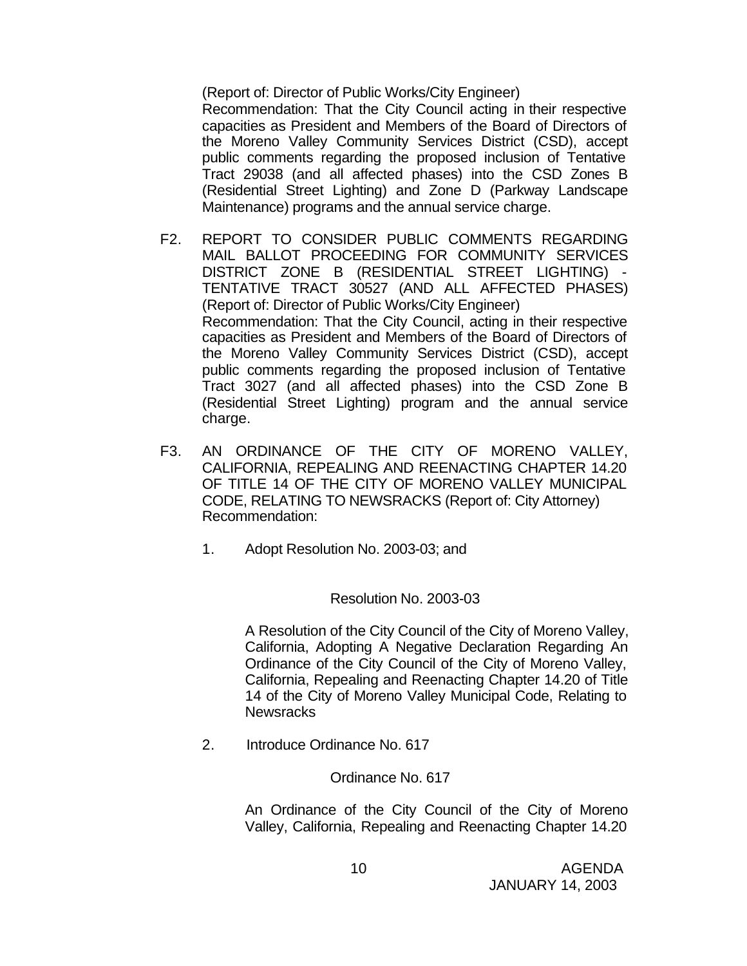(Report of: Director of Public Works/City Engineer)

Recommendation: That the City Council acting in their respective capacities as President and Members of the Board of Directors of the Moreno Valley Community Services District (CSD), accept public comments regarding the proposed inclusion of Tentative Tract 29038 (and all affected phases) into the CSD Zones B (Residential Street Lighting) and Zone D (Parkway Landscape Maintenance) programs and the annual service charge.

- F2. REPORT TO CONSIDER PUBLIC COMMENTS REGARDING MAIL BALLOT PROCEEDING FOR COMMUNITY SERVICES DISTRICT ZONE B (RESIDENTIAL STREET LIGHTING) - TENTATIVE TRACT 30527 (AND ALL AFFECTED PHASES) (Report of: Director of Public Works/City Engineer) Recommendation: That the City Council, acting in their respective capacities as President and Members of the Board of Directors of the Moreno Valley Community Services District (CSD), accept public comments regarding the proposed inclusion of Tentative Tract 3027 (and all affected phases) into the CSD Zone B (Residential Street Lighting) program and the annual service charge.
- F3. AN ORDINANCE OF THE CITY OF MORENO VALLEY, CALIFORNIA, REPEALING AND REENACTING CHAPTER 14.20 OF TITLE 14 OF THE CITY OF MORENO VALLEY MUNICIPAL CODE, RELATING TO NEWSRACKS (Report of: City Attorney) Recommendation:
	- 1. Adopt Resolution No. 2003-03; and

### Resolution No. 2003-03

A Resolution of the City Council of the City of Moreno Valley, California, Adopting A Negative Declaration Regarding An Ordinance of the City Council of the City of Moreno Valley, California, Repealing and Reenacting Chapter 14.20 of Title 14 of the City of Moreno Valley Municipal Code, Relating to **Newsracks** 

2. Introduce Ordinance No. 617

Ordinance No. 617

An Ordinance of the City Council of the City of Moreno Valley, California, Repealing and Reenacting Chapter 14.20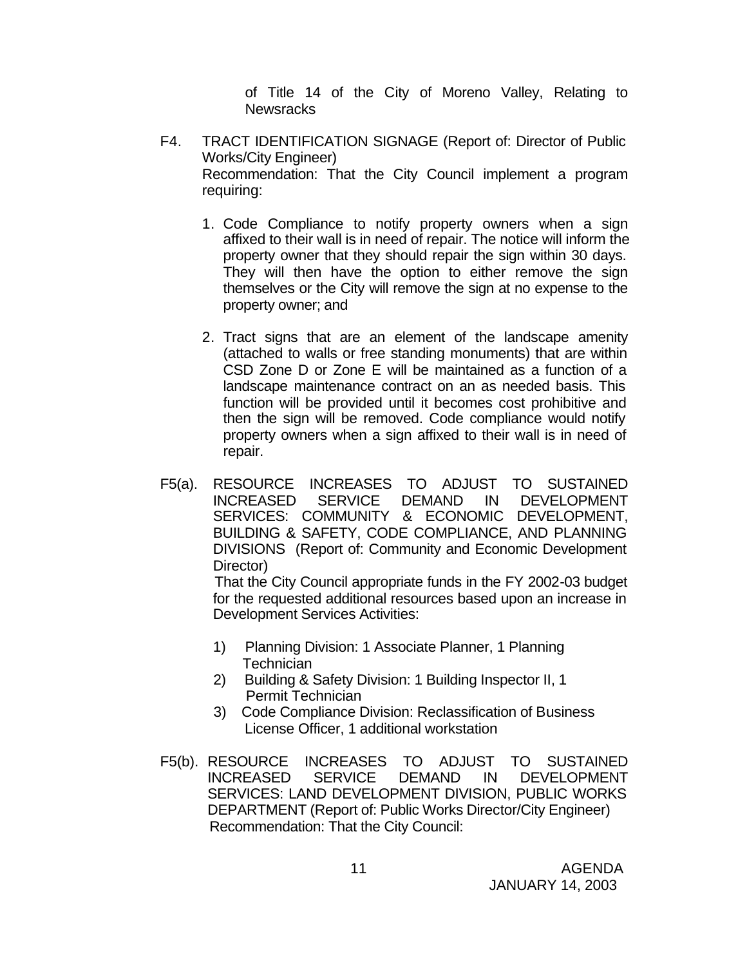of Title 14 of the City of Moreno Valley, Relating to **Newsracks** 

- F4. TRACT IDENTIFICATION SIGNAGE (Report of: Director of Public Works/City Engineer) Recommendation: That the City Council implement a program requiring:
	- 1. Code Compliance to notify property owners when a sign affixed to their wall is in need of repair. The notice will inform the property owner that they should repair the sign within 30 days. They will then have the option to either remove the sign themselves or the City will remove the sign at no expense to the property owner; and
	- 2. Tract signs that are an element of the landscape amenity (attached to walls or free standing monuments) that are within CSD Zone D or Zone E will be maintained as a function of a landscape maintenance contract on an as needed basis. This function will be provided until it becomes cost prohibitive and then the sign will be removed. Code compliance would notify property owners when a sign affixed to their wall is in need of repair.
- F5(a). RESOURCE INCREASES TO ADJUST TO SUSTAINED INCREASED SERVICE DEMAND IN DEVELOPMENT SERVICES: COMMUNITY & ECONOMIC DEVELOPMENT, BUILDING & SAFETY, CODE COMPLIANCE, AND PLANNING DIVISIONS (Report of: Community and Economic Development Director)

 That the City Council appropriate funds in the FY 2002-03 budget for the requested additional resources based upon an increase in Development Services Activities:

- 1) Planning Division: 1 Associate Planner, 1 Planning **Technician**
- 2) Building & Safety Division: 1 Building Inspector II, 1 Permit Technician
- 3) Code Compliance Division: Reclassification of Business License Officer, 1 additional workstation
- F5(b). RESOURCE INCREASES TO ADJUST TO SUSTAINED INCREASED SERVICE DEMAND IN DEVELOPMENT SERVICES: LAND DEVELOPMENT DIVISION, PUBLIC WORKS DEPARTMENT (Report of: Public Works Director/City Engineer) Recommendation: That the City Council: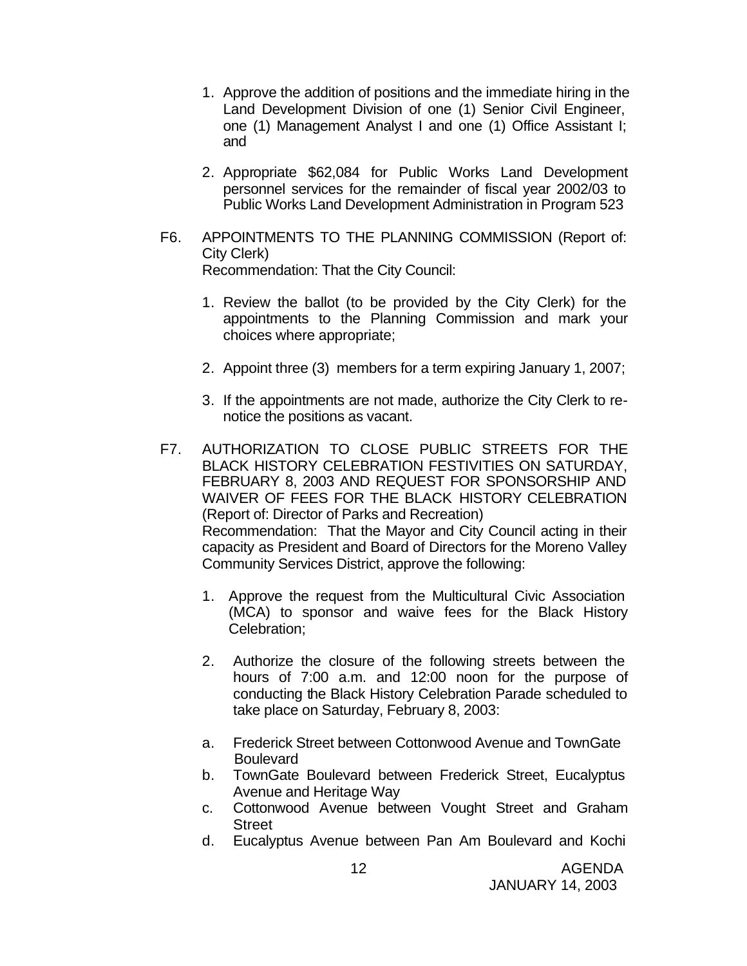- 1. Approve the addition of positions and the immediate hiring in the Land Development Division of one (1) Senior Civil Engineer, one (1) Management Analyst I and one (1) Office Assistant I; and
- 2. Appropriate \$62,084 for Public Works Land Development personnel services for the remainder of fiscal year 2002/03 to Public Works Land Development Administration in Program 523
- F6. APPOINTMENTS TO THE PLANNING COMMISSION (Report of: City Clerk) Recommendation: That the City Council:
	- 1. Review the ballot (to be provided by the City Clerk) for the appointments to the Planning Commission and mark your choices where appropriate;
	- 2. Appoint three (3) members for a term expiring January 1, 2007;
	- 3. If the appointments are not made, authorize the City Clerk to renotice the positions as vacant.
- F7. AUTHORIZATION TO CLOSE PUBLIC STREETS FOR THE BLACK HISTORY CELEBRATION FESTIVITIES ON SATURDAY, FEBRUARY 8, 2003 AND REQUEST FOR SPONSORSHIP AND WAIVER OF FEES FOR THE BLACK HISTORY CELEBRATION (Report of: Director of Parks and Recreation) Recommendation: That the Mayor and City Council acting in their capacity as President and Board of Directors for the Moreno Valley Community Services District, approve the following:
	- 1. Approve the request from the Multicultural Civic Association (MCA) to sponsor and waive fees for the Black History Celebration;
	- 2. Authorize the closure of the following streets between the hours of 7:00 a.m. and 12:00 noon for the purpose of conducting the Black History Celebration Parade scheduled to take place on Saturday, February 8, 2003:
	- a. Frederick Street between Cottonwood Avenue and TownGate **Boulevard**
	- b. TownGate Boulevard between Frederick Street, Eucalyptus Avenue and Heritage Way
	- c. Cottonwood Avenue between Vought Street and Graham **Street**
	- d. Eucalyptus Avenue between Pan Am Boulevard and Kochi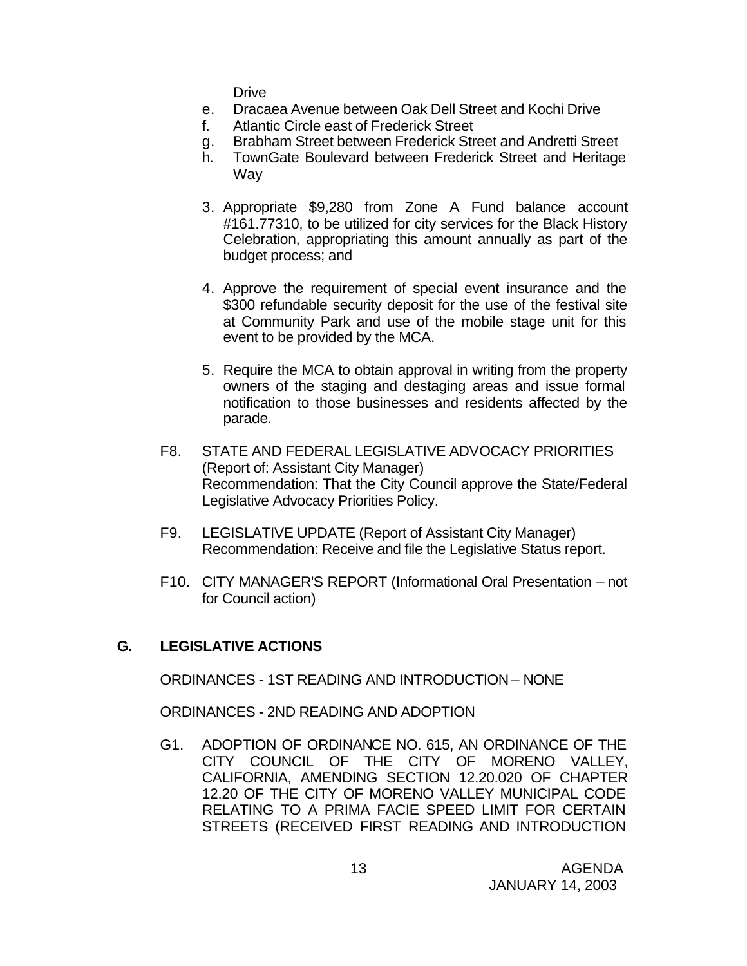Drive

- e. Dracaea Avenue between Oak Dell Street and Kochi Drive
- f. Atlantic Circle east of Frederick Street
- g. Brabham Street between Frederick Street and Andretti Street
- h. TownGate Boulevard between Frederick Street and Heritage Way
- 3. Appropriate \$9,280 from Zone A Fund balance account #161.77310, to be utilized for city services for the Black History Celebration, appropriating this amount annually as part of the budget process; and
- 4. Approve the requirement of special event insurance and the \$300 refundable security deposit for the use of the festival site at Community Park and use of the mobile stage unit for this event to be provided by the MCA.
- 5. Require the MCA to obtain approval in writing from the property owners of the staging and destaging areas and issue formal notification to those businesses and residents affected by the parade.
- F8. STATE AND FEDERAL LEGISLATIVE ADVOCACY PRIORITIES (Report of: Assistant City Manager) Recommendation: That the City Council approve the State/Federal Legislative Advocacy Priorities Policy.
- F9. LEGISLATIVE UPDATE (Report of Assistant City Manager) Recommendation: Receive and file the Legislative Status report.
- F10. CITY MANAGER'S REPORT (Informational Oral Presentation not for Council action)

## **G. LEGISLATIVE ACTIONS**

ORDINANCES - 1ST READING AND INTRODUCTION – NONE

ORDINANCES - 2ND READING AND ADOPTION

G1. ADOPTION OF ORDINANCE NO. 615, AN ORDINANCE OF THE CITY COUNCIL OF THE CITY OF MORENO VALLEY, CALIFORNIA, AMENDING SECTION 12.20.020 OF CHAPTER 12.20 OF THE CITY OF MORENO VALLEY MUNICIPAL CODE RELATING TO A PRIMA FACIE SPEED LIMIT FOR CERTAIN STREETS (RECEIVED FIRST READING AND INTRODUCTION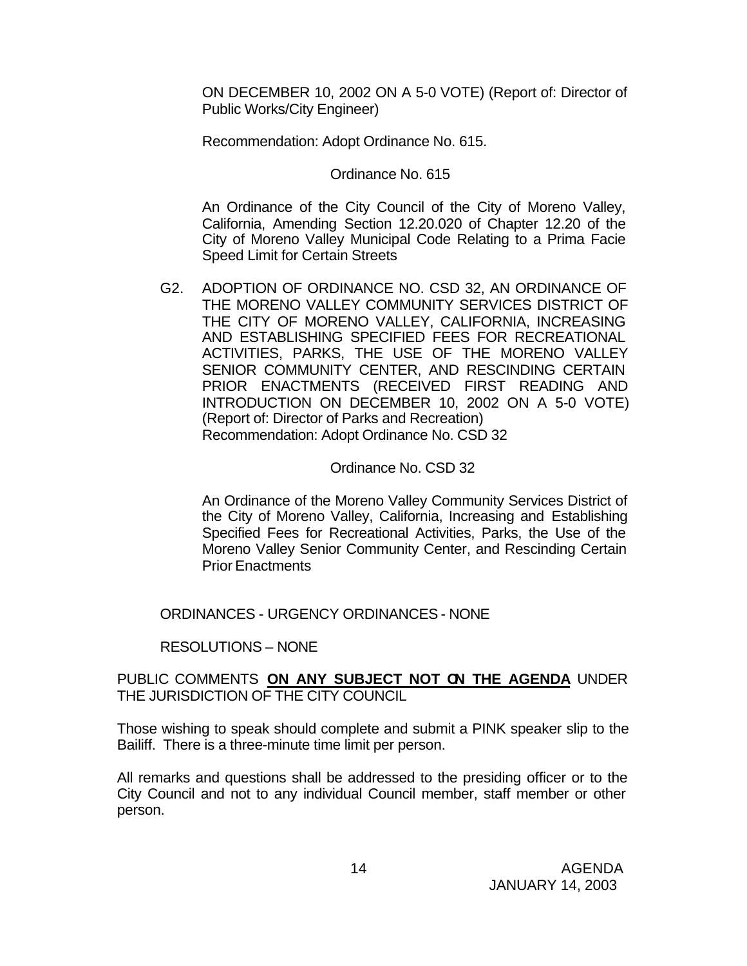ON DECEMBER 10, 2002 ON A 5-0 VOTE) (Report of: Director of Public Works/City Engineer)

Recommendation: Adopt Ordinance No. 615.

Ordinance No. 615

An Ordinance of the City Council of the City of Moreno Valley, California, Amending Section 12.20.020 of Chapter 12.20 of the City of Moreno Valley Municipal Code Relating to a Prima Facie Speed Limit for Certain Streets

G2. ADOPTION OF ORDINANCE NO. CSD 32, AN ORDINANCE OF THE MORENO VALLEY COMMUNITY SERVICES DISTRICT OF THE CITY OF MORENO VALLEY, CALIFORNIA, INCREASING AND ESTABLISHING SPECIFIED FEES FOR RECREATIONAL ACTIVITIES, PARKS, THE USE OF THE MORENO VALLEY SENIOR COMMUNITY CENTER, AND RESCINDING CERTAIN PRIOR ENACTMENTS (RECEIVED FIRST READING AND INTRODUCTION ON DECEMBER 10, 2002 ON A 5-0 VOTE) (Report of: Director of Parks and Recreation) Recommendation: Adopt Ordinance No. CSD 32

### Ordinance No. CSD 32

An Ordinance of the Moreno Valley Community Services District of the City of Moreno Valley, California, Increasing and Establishing Specified Fees for Recreational Activities, Parks, the Use of the Moreno Valley Senior Community Center, and Rescinding Certain Prior Enactments

ORDINANCES - URGENCY ORDINANCES - NONE

## RESOLUTIONS – NONE

### PUBLIC COMMENTS **ON ANY SUBJECT NOT ON THE AGENDA** UNDER THE JURISDICTION OF THE CITY COUNCIL

Those wishing to speak should complete and submit a PINK speaker slip to the Bailiff. There is a three-minute time limit per person.

All remarks and questions shall be addressed to the presiding officer or to the City Council and not to any individual Council member, staff member or other person.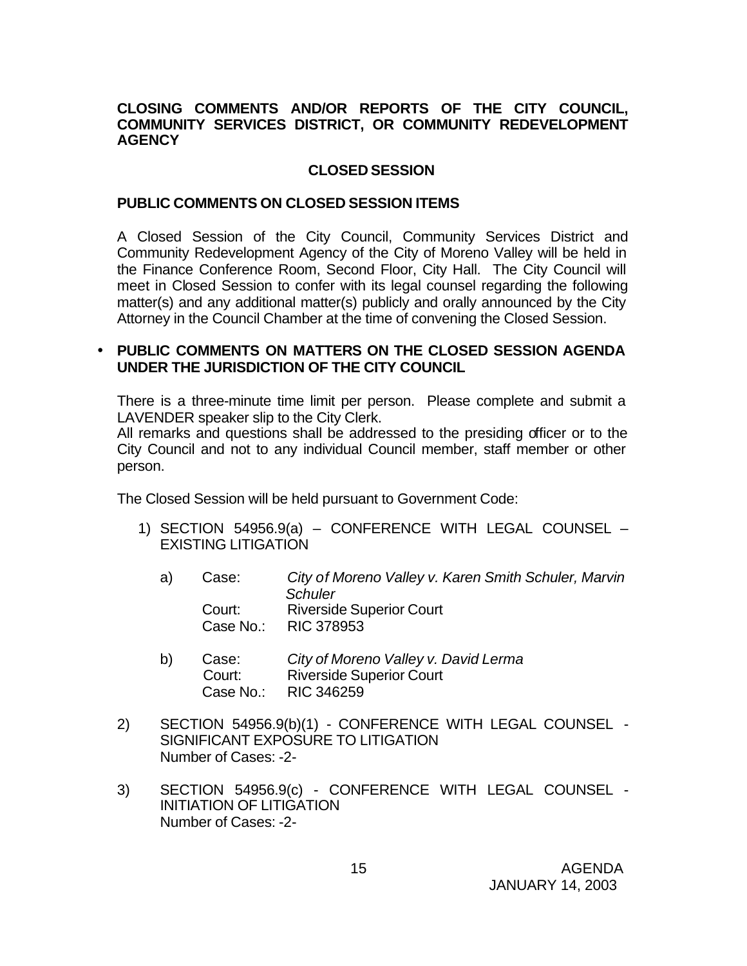### **CLOSING COMMENTS AND/OR REPORTS OF THE CITY COUNCIL, COMMUNITY SERVICES DISTRICT, OR COMMUNITY REDEVELOPMENT AGENCY**

## **CLOSED SESSION**

### **PUBLIC COMMENTS ON CLOSED SESSION ITEMS**

A Closed Session of the City Council, Community Services District and Community Redevelopment Agency of the City of Moreno Valley will be held in the Finance Conference Room, Second Floor, City Hall. The City Council will meet in Closed Session to confer with its legal counsel regarding the following matter(s) and any additional matter(s) publicly and orally announced by the City Attorney in the Council Chamber at the time of convening the Closed Session.

## • **PUBLIC COMMENTS ON MATTERS ON THE CLOSED SESSION AGENDA UNDER THE JURISDICTION OF THE CITY COUNCIL**

There is a three-minute time limit per person. Please complete and submit a LAVENDER speaker slip to the City Clerk.

All remarks and questions shall be addressed to the presiding officer or to the City Council and not to any individual Council member, staff member or other person.

The Closed Session will be held pursuant to Government Code:

- 1) SECTION 54956.9(a) CONFERENCE WITH LEGAL COUNSEL EXISTING LITIGATION
	- a) Case: *City of Moreno Valley v. Karen Smith Schuler, Marvin Schuler* Court: Riverside Superior Court Case No.: RIC 378953
	- b) Case: *City of Moreno Valley v. David Lerma* **Riverside Superior Court** Case No.: RIC 346259
- 2) SECTION 54956.9(b)(1) CONFERENCE WITH LEGAL COUNSEL SIGNIFICANT EXPOSURE TO LITIGATION Number of Cases: -2-
- 3) SECTION 54956.9(c) CONFERENCE WITH LEGAL COUNSEL INITIATION OF LITIGATION Number of Cases: -2-